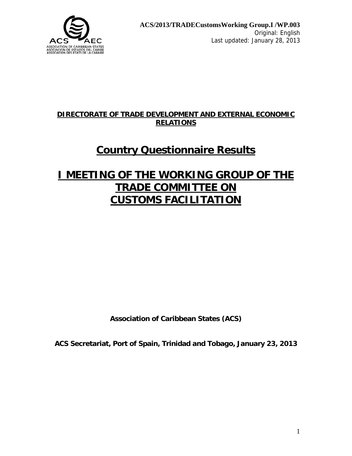

### **DIRECTORATE OF TRADE DEVELOPMENT AND EXTERNAL ECONOMIC RELATIONS**

# **Country Questionnaire Results**

# **I MEETING OF THE WORKING GROUP OF THE TRADE COMMITTEE ON CUSTOMS FACILITATION**

**Association of Caribbean States (ACS)** 

**ACS Secretariat, Port of Spain, Trinidad and Tobago, January 23, 2013**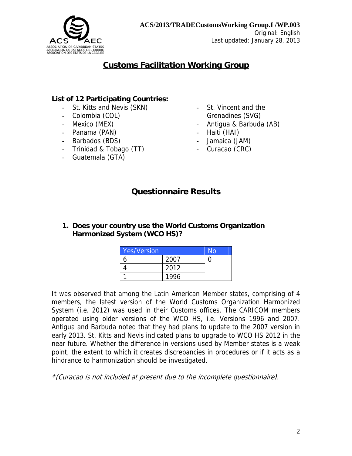

# **Customs Facilitation Working Group**

#### **List of 12 Participating Countries:**

- St. Kitts and Nevis (SKN)
- Colombia (COL)
- Mexico (MEX)
- Panama (PAN)
- Barbados (BDS)
- Trinidad & Tobago (TT)
- Guatemala (GTA)
- St. Vincent and the Grenadines (SVG)
- Antigua & Barbuda (AB)
- Haiti (HAI)
- Jamaica (JAM)
- Curacao (CRC)

# **Questionnaire Results**

#### **1. Does your country use the World Customs Organization Harmonized System (WCO HS)?**

| <b>Yes/Version</b> |      | N٥ |
|--------------------|------|----|
|                    | 2007 |    |
|                    | 2012 |    |
|                    | 1996 |    |

It was observed that among the Latin American Member states, comprising of 4 members, the latest version of the World Customs Organization Harmonized System (i.e. 2012) was used in their Customs offices. The CARICOM members operated using older versions of the WCO HS, i.e. Versions 1996 and 2007. Antigua and Barbuda noted that they had plans to update to the 2007 version in early 2013. St. Kitts and Nevis indicated plans to upgrade to WCO HS 2012 in the near future. Whether the difference in versions used by Member states is a weak point, the extent to which it creates discrepancies in procedures or if it acts as a hindrance to harmonization should be investigated.

\*(Curacao is not included at present due to the incomplete questionnaire).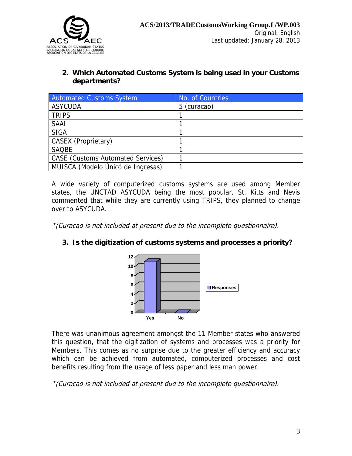

#### **2. Which Automated Customs System is being used in your Customs departments?**

| Automated Customs System                 | No. of Countries |
|------------------------------------------|------------------|
| <b>ASYCUDA</b>                           | 5 (curacao)      |
| <b>TRIPS</b>                             |                  |
| <b>SAAI</b>                              |                  |
| <b>SIGA</b>                              |                  |
| CASEX (Proprietary)                      |                  |
| <b>SAOBE</b>                             |                  |
| <b>CASE</b> (Customs Automated Services) |                  |
| MUISCA (Modelo Únicó de Ingresas)        |                  |

A wide variety of computerized customs systems are used among Member states, the UNCTAD ASYCUDA being the most popular. St. Kitts and Nevis commented that while they are currently using TRIPS, they planned to change over to ASYCUDA.

\*(Curacao is not included at present due to the incomplete questionnaire).

#### **3. Is the digitization of customs systems and processes a priority?**



There was unanimous agreement amongst the 11 Member states who answered this question, that the digitization of systems and processes was a priority for Members. This comes as no surprise due to the greater efficiency and accuracy which can be achieved from automated, computerized processes and cost benefits resulting from the usage of less paper and less man power.

\*(Curacao is not included at present due to the incomplete questionnaire).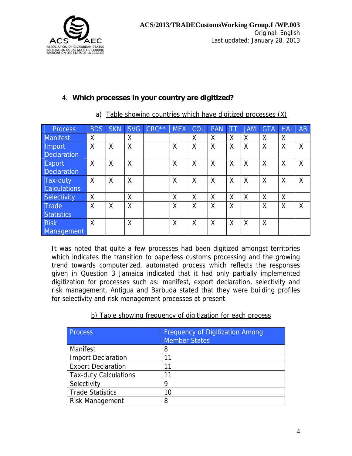

| <b>Process</b> | <b>BDS</b> | <b>SKN</b> | <b>SVG</b> | $CRC***$ | <b>MEX</b> | <b>COL</b> | <b>PAN</b> |   | <b>JAM</b> | <b>GTA</b> | <b>HAI</b> | AB |
|----------------|------------|------------|------------|----------|------------|------------|------------|---|------------|------------|------------|----|
| Manifest       | Χ          |            | X          |          |            | X          | X          | Χ | X          | X          | Χ          |    |
| <b>Import</b>  | X          | X          | X          |          | X          | X          | X          | Χ | Χ          | Χ          | Χ          | Χ  |
| Declaration    |            |            |            |          |            |            |            |   |            |            |            |    |
| Export         | $\times$   | Χ          | X          |          | Χ          | Χ          | Χ          | Χ | Χ          | X          | Χ          | X  |
| Declaration    |            |            |            |          |            |            |            |   |            |            |            |    |
| Tax-duty       | $\times$   | Χ          | Χ          |          | Χ          | X          | Χ          | Χ | Χ          | X          | Χ          | X  |
| Calculations   |            |            |            |          |            |            |            |   |            |            |            |    |
| Selectivity    | X          |            | Χ          |          | Χ          | Χ          | Χ          | Χ | Χ          | Χ          | Χ          |    |
| Trade          | X          | X          | X          |          | X          | X          | X          | X |            | X          | X          | X  |
| Statistics     |            |            |            |          |            |            |            |   |            |            |            |    |
| <b>Risk</b>    | X          |            | X          |          | X          | X          | X          | Χ | Χ          | X          |            |    |
| Management     |            |            |            |          |            |            |            |   |            |            |            |    |

#### 4. **Which processes in your country are digitized?**

# a) Table showing countries which have digitized processes (X)

It was noted that quite a few processes had been digitized amongst territories which indicates the transition to paperless customs processing and the growing trend towards computerized, automated process which reflects the responses given in Question 3 Jamaica indicated that it had only partially implemented digitization for processes such as: manifest, export declaration, selectivity and risk management. Antigua and Barbuda stated that they were building profiles for selectivity and risk management processes at present.

#### b) Table showing frequency of digitization for each process

| Process                      | <b>Frequency of Digitization Among</b><br><b>Member States</b> |
|------------------------------|----------------------------------------------------------------|
| Manifest                     | 8                                                              |
| <b>Import Declaration</b>    | 11                                                             |
| <b>Export Declaration</b>    |                                                                |
| <b>Tax-duty Calculations</b> | 11                                                             |
| Selectivity                  | Q                                                              |
| <b>Trade Statistics</b>      | 10                                                             |
| <b>Risk Management</b>       | 8                                                              |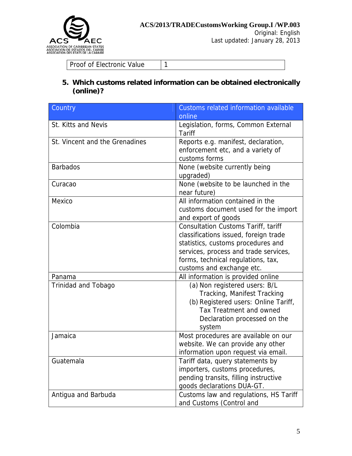

Original: English Last updated: January 28, 2013

Proof of Electronic Value 1

#### **5. Which customs related information can be obtained electronically (online)?**

| Country                        | Customs related information available<br>online                                                                                                                                                                                       |
|--------------------------------|---------------------------------------------------------------------------------------------------------------------------------------------------------------------------------------------------------------------------------------|
| <b>St. Kitts and Nevis</b>     | Legislation, forms, Common External<br><b>Tariff</b>                                                                                                                                                                                  |
| St. Vincent and the Grenadines | Reports e.g. manifest, declaration,<br>enforcement etc, and a variety of<br>customs forms                                                                                                                                             |
| <b>Barbados</b>                | None (website currently being<br>upgraded)                                                                                                                                                                                            |
| Curacao                        | None (website to be launched in the<br>near future)                                                                                                                                                                                   |
| Mexico                         | All information contained in the<br>customs document used for the import<br>and export of goods                                                                                                                                       |
| Colombia                       | <b>Consultation Customs Tariff, tariff</b><br>classifications issued, foreign trade<br>statistics, customs procedures and<br>services, process and trade services,<br>forms, technical regulations, tax,<br>customs and exchange etc. |
| Panama                         | All information is provided online                                                                                                                                                                                                    |
| <b>Trinidad and Tobago</b>     | (a) Non registered users: B/L<br>Tracking, Manifest Tracking<br>(b) Registered users: Online Tariff,<br>Tax Treatment and owned<br>Declaration processed on the<br>system                                                             |
| Jamaica                        | Most procedures are available on our<br>website. We can provide any other<br>information upon request via email.                                                                                                                      |
| Guatemala                      | Tariff data, query statements by<br>importers, customs procedures,<br>pending transits, filling instructive<br>goods declarations DUA-GT.                                                                                             |
| Antigua and Barbuda            | Customs law and regulations, HS Tariff<br>and Customs (Control and                                                                                                                                                                    |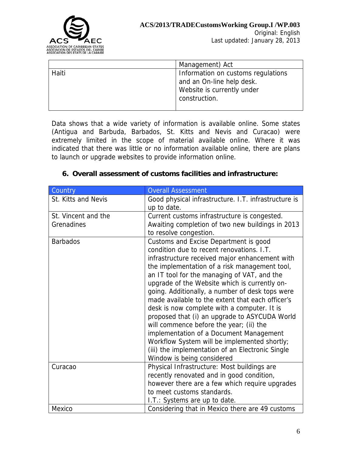

|       | Management) Act                                                                                                |
|-------|----------------------------------------------------------------------------------------------------------------|
| Haiti | Information on customs regulations<br>and an On-line help desk.<br>Website is currently under<br>construction. |

Data shows that a wide variety of information is available online. Some states (Antigua and Barbuda, Barbados, St. Kitts and Nevis and Curacao) were extremely limited in the scope of material available online. Where it was indicated that there was little or no information available online, there are plans to launch or upgrade websites to provide information online.

|  |  |  |  |  | 6. Overall assessment of customs facilities and infrastructure: |  |
|--|--|--|--|--|-----------------------------------------------------------------|--|
|--|--|--|--|--|-----------------------------------------------------------------|--|

| Country             | <b>Overall Assessment</b>                                                                                                                                                                                                                                                                                                                                                                                                                                                                                                                                                                                                      |
|---------------------|--------------------------------------------------------------------------------------------------------------------------------------------------------------------------------------------------------------------------------------------------------------------------------------------------------------------------------------------------------------------------------------------------------------------------------------------------------------------------------------------------------------------------------------------------------------------------------------------------------------------------------|
| St. Kitts and Nevis | Good physical infrastructure. I.T. infrastructure is<br>up to date.                                                                                                                                                                                                                                                                                                                                                                                                                                                                                                                                                            |
| St. Vincent and the | Current customs infrastructure is congested.                                                                                                                                                                                                                                                                                                                                                                                                                                                                                                                                                                                   |
| Grenadines          | Awaiting completion of two new buildings in 2013<br>to resolve congestion.                                                                                                                                                                                                                                                                                                                                                                                                                                                                                                                                                     |
| <b>Barbados</b>     | Customs and Excise Department is good<br>condition due to recent renovations. I.T.                                                                                                                                                                                                                                                                                                                                                                                                                                                                                                                                             |
|                     | infrastructure received major enhancement with<br>the implementation of a risk management tool,<br>an IT tool for the managing of VAT, and the<br>upgrade of the Website which is currently on-<br>going. Additionally, a number of desk tops were<br>made available to the extent that each officer's<br>desk is now complete with a computer. It is<br>proposed that (i) an upgrade to ASYCUDA World<br>will commence before the year; (ii) the<br>implementation of a Document Management<br>Workflow System will be implemented shortly;<br>(iii) the implementation of an Electronic Single<br>Window is being considered |
| Curacao             | Physical Infrastructure: Most buildings are<br>recently renovated and in good condition,<br>however there are a few which require upgrades<br>to meet customs standards.<br>I.T.: Systems are up to date.                                                                                                                                                                                                                                                                                                                                                                                                                      |
| Mexico              | Considering that in Mexico there are 49 customs                                                                                                                                                                                                                                                                                                                                                                                                                                                                                                                                                                                |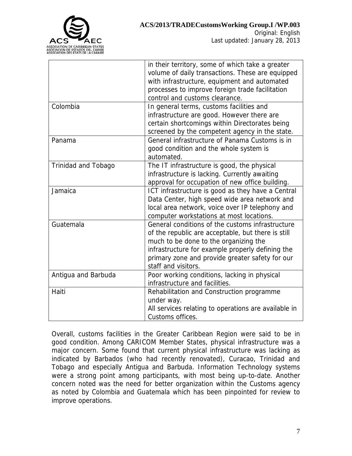

|                            | in their territory, some of which take a greater<br>volume of daily transactions. These are equipped<br>with infrastructure, equipment and automated<br>processes to improve foreign trade facilitation<br>control and customs clearance. |
|----------------------------|-------------------------------------------------------------------------------------------------------------------------------------------------------------------------------------------------------------------------------------------|
| Colombia                   | In general terms, customs facilities and                                                                                                                                                                                                  |
|                            | infrastructure are good. However there are<br>certain shortcomings within Directorates being                                                                                                                                              |
|                            | screened by the competent agency in the state.                                                                                                                                                                                            |
| Panama                     | General infrastructure of Panama Customs is in                                                                                                                                                                                            |
|                            | good condition and the whole system is<br>automated.                                                                                                                                                                                      |
| <b>Trinidad and Tobago</b> | The IT infrastructure is good, the physical                                                                                                                                                                                               |
|                            | infrastructure is lacking. Currently awaiting                                                                                                                                                                                             |
|                            | approval for occupation of new office building.                                                                                                                                                                                           |
| Jamaica                    | ICT infrastructure is good as they have a Central                                                                                                                                                                                         |
|                            | Data Center, high speed wide area network and                                                                                                                                                                                             |
|                            | local area network, voice over IP telephony and                                                                                                                                                                                           |
|                            | computer workstations at most locations.                                                                                                                                                                                                  |
| Guatemala                  | General conditions of the customs infrastructure                                                                                                                                                                                          |
|                            | of the republic are acceptable, but there is still<br>much to be done to the organizing the                                                                                                                                               |
|                            | infrastructure for example properly defining the                                                                                                                                                                                          |
|                            | primary zone and provide greater safety for our                                                                                                                                                                                           |
|                            | staff and visitors.                                                                                                                                                                                                                       |
| Antigua and Barbuda        | Poor working conditions, lacking in physical                                                                                                                                                                                              |
|                            | infrastructure and facilities.                                                                                                                                                                                                            |
| Haiti                      | Rehabilitation and Construction programme                                                                                                                                                                                                 |
|                            | under way.                                                                                                                                                                                                                                |
|                            | All services relating to operations are available in                                                                                                                                                                                      |
|                            | Customs offices.                                                                                                                                                                                                                          |

Overall, customs facilities in the Greater Caribbean Region were said to be in good condition. Among CARICOM Member States, physical infrastructure was a major concern. Some found that current physical infrastructure was lacking as indicated by Barbados (who had recently renovated), Curacao, Trinidad and Tobago and especially Antigua and Barbuda. Information Technology systems were a strong point among participants, with most being up-to-date. Another concern noted was the need for better organization within the Customs agency as noted by Colombia and Guatemala which has been pinpointed for review to improve operations.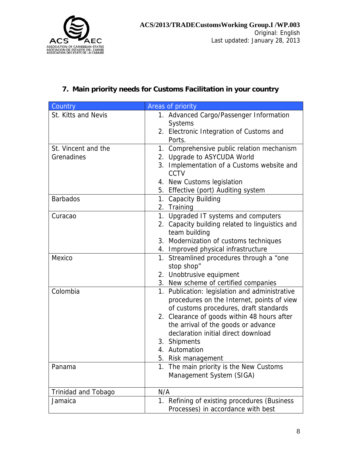

## **7. Main priority needs for Customs Facilitation in your country**

| Country                    | Areas of priority                                                |
|----------------------------|------------------------------------------------------------------|
| St. Kitts and Nevis        | 1. Advanced Cargo/Passenger Information                          |
|                            | <b>Systems</b>                                                   |
|                            | 2. Electronic Integration of Customs and                         |
|                            | Ports.                                                           |
| St. Vincent and the        | 1. Comprehensive public relation mechanism                       |
| Grenadines                 | 2. Upgrade to ASYCUDA World                                      |
|                            | 3. Implementation of a Customs website and                       |
|                            | <b>CCTV</b>                                                      |
|                            | 4. New Customs legislation                                       |
|                            | 5. Effective (port) Auditing system                              |
| <b>Barbados</b>            | 1. Capacity Building                                             |
|                            | 2. Training                                                      |
| Curacao                    | 1. Upgraded IT systems and computers                             |
|                            | 2. Capacity building related to linguistics and                  |
|                            | team building                                                    |
|                            | 3. Modernization of customs techniques                           |
|                            | 4. Improved physical infrastructure                              |
| Mexico                     | 1. Streamlined procedures through a "one                         |
|                            | stop shop"                                                       |
|                            | 2. Unobtrusive equipment<br>3. New scheme of certified companies |
| Colombia                   | 1. Publication: legislation and administrative                   |
|                            | procedures on the Internet, points of view                       |
|                            | of customs procedures, draft standards                           |
|                            | 2. Clearance of goods within 48 hours after                      |
|                            | the arrival of the goods or advance                              |
|                            | declaration initial direct download                              |
|                            | 3. Shipments                                                     |
|                            | 4. Automation                                                    |
|                            | 5.<br>Risk management                                            |
| Panama                     | 1. The main priority is the New Customs                          |
|                            | Management System (SIGA)                                         |
|                            |                                                                  |
| <b>Trinidad and Tobago</b> | N/A                                                              |
| Jamaica                    | 1. Refining of existing procedures (Business                     |
|                            | Processes) in accordance with best                               |